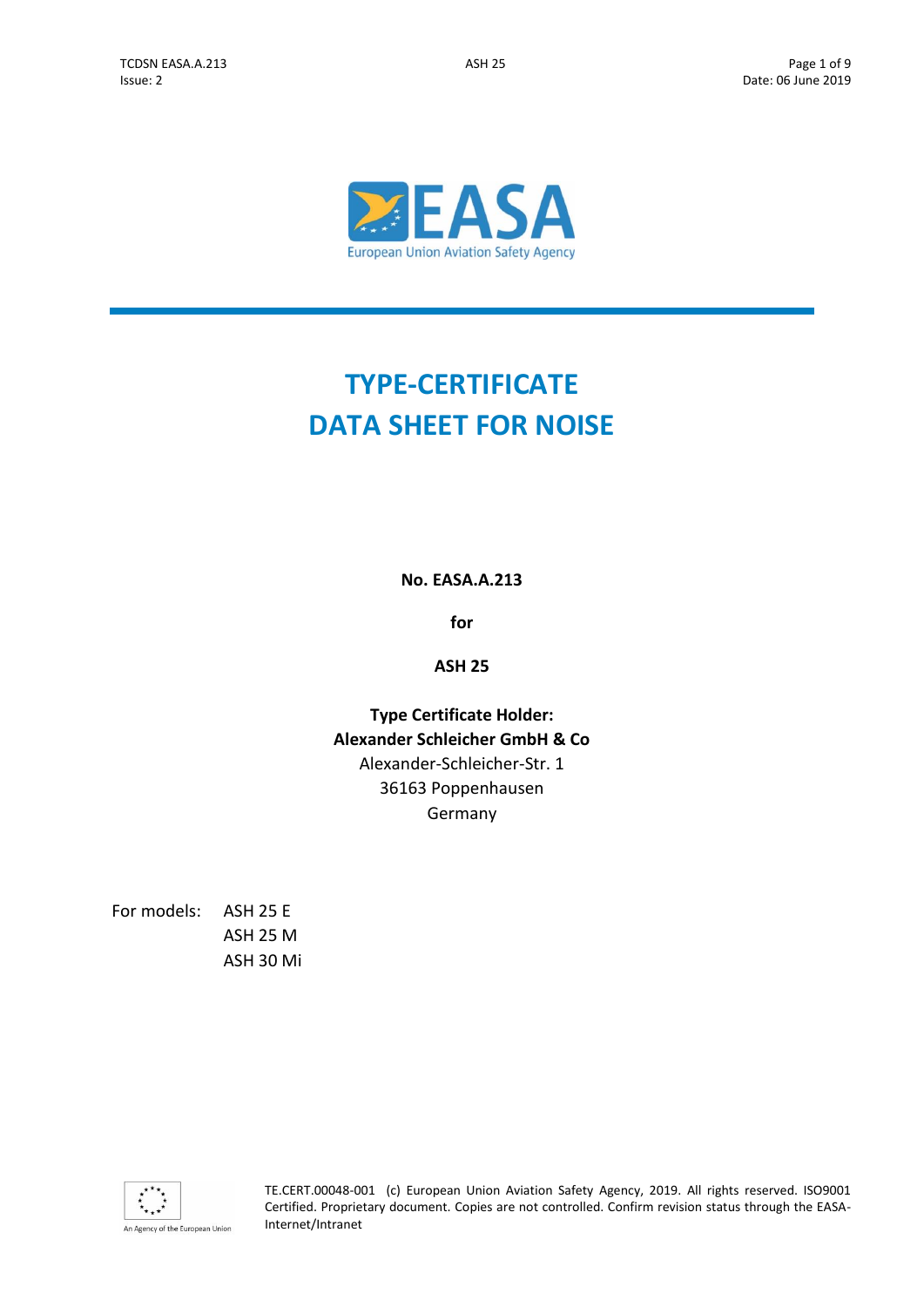

## **TYPE-CERTIFICATE DATA SHEET FOR NOISE**

**No. EASA.A.213**

**for**

**ASH 25**

**Type Certificate Holder: Alexander Schleicher GmbH & Co** Alexander-Schleicher-Str. 1 36163 Poppenhausen Germany

For models: ASH 25 E ASH 25 M ASH 30 Mi

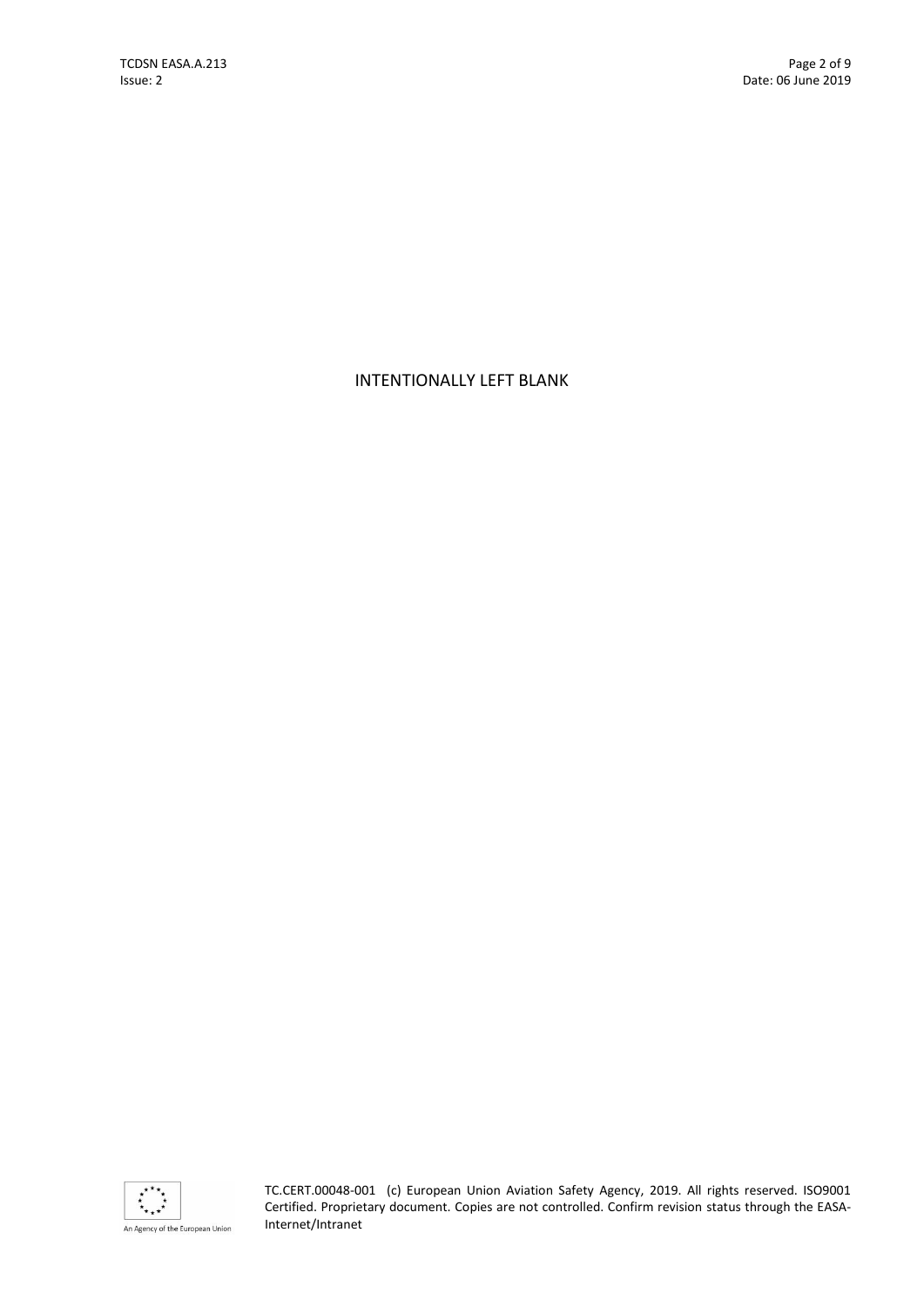## INTENTIONALLY LEFT BLANK

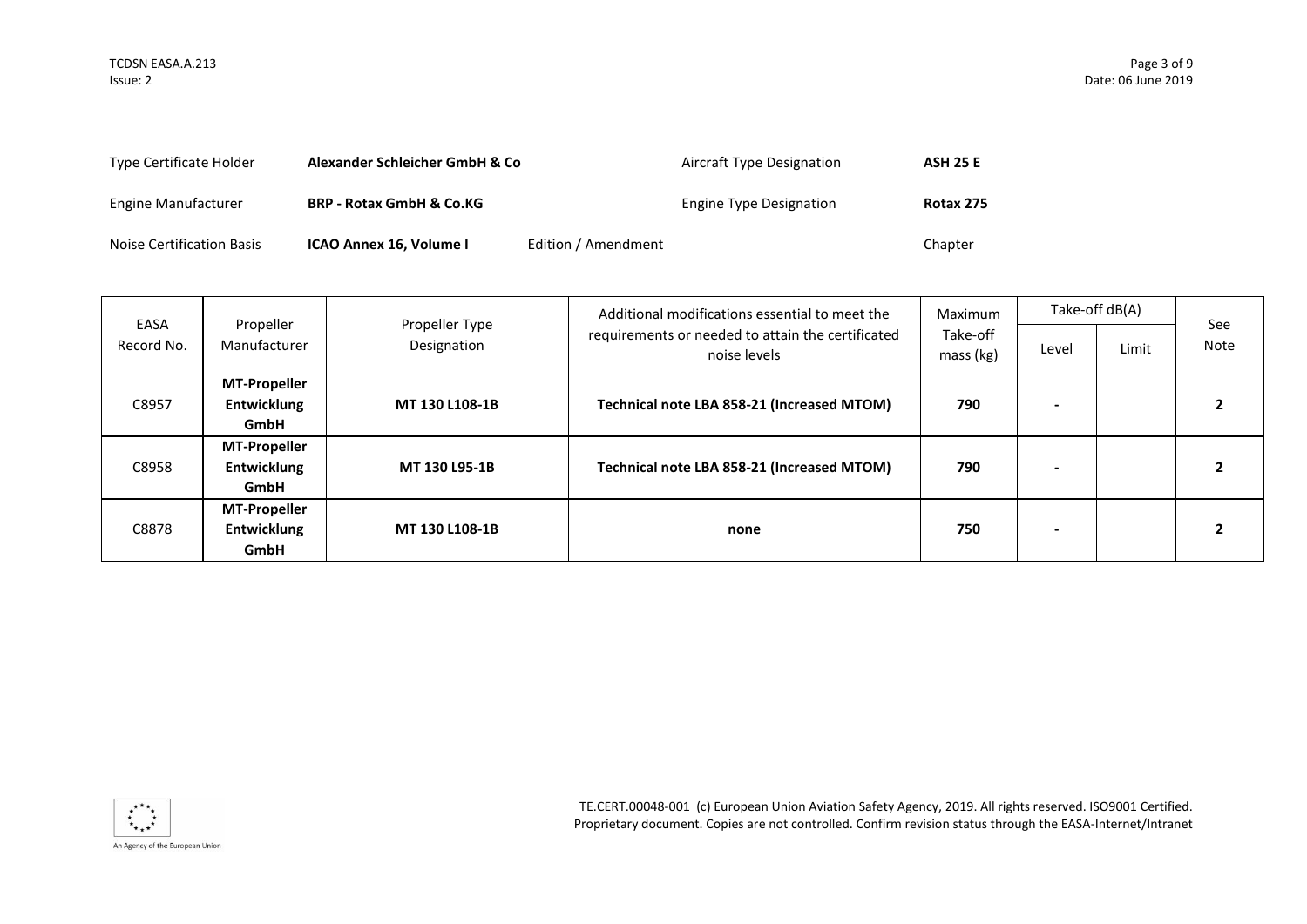| Type Certificate Holder    | Alexander Schleicher GmbH & Co      |                     | Aircraft Type Designation | <b>ASH 25 E</b> |
|----------------------------|-------------------------------------|---------------------|---------------------------|-----------------|
| <b>Engine Manufacturer</b> | <b>BRP - Rotax GmbH &amp; Co.KG</b> |                     | Engine Type Designation   | Rotax 275       |
| Noise Certification Basis  | ICAO Annex 16, Volume I             | Edition / Amendment |                           | Chapter         |

|                    |                           |                               | Additional modifications essential to meet the                    | Maximum               | Take-off dB(A)           |       | See  |
|--------------------|---------------------------|-------------------------------|-------------------------------------------------------------------|-----------------------|--------------------------|-------|------|
| EASA<br>Record No. | Propeller<br>Manufacturer | Propeller Type<br>Designation | requirements or needed to attain the certificated<br>noise levels | Take-off<br>mass (kg) | Level                    | Limit | Note |
|                    | <b>MT-Propeller</b>       |                               |                                                                   |                       |                          |       |      |
| C8957              | <b>Entwicklung</b>        | MT 130 L108-1B                | Technical note LBA 858-21 (Increased MTOM)                        | 790                   | $\overline{\phantom{0}}$ |       |      |
|                    | GmbH                      |                               |                                                                   |                       |                          |       |      |
|                    | <b>MT-Propeller</b>       |                               |                                                                   |                       |                          |       |      |
| C8958              | <b>Entwicklung</b>        | MT 130 L95-1B                 | Technical note LBA 858-21 (Increased MTOM)                        | 790                   | $\overline{\phantom{0}}$ |       |      |
|                    | GmbH                      |                               |                                                                   |                       |                          |       |      |
|                    | <b>MT-Propeller</b>       |                               |                                                                   |                       |                          |       |      |
| C8878              | <b>Entwicklung</b>        | MT 130 L108-1B                | none                                                              | 750                   | $\overline{\phantom{0}}$ |       |      |
|                    | GmbH                      |                               |                                                                   |                       |                          |       |      |

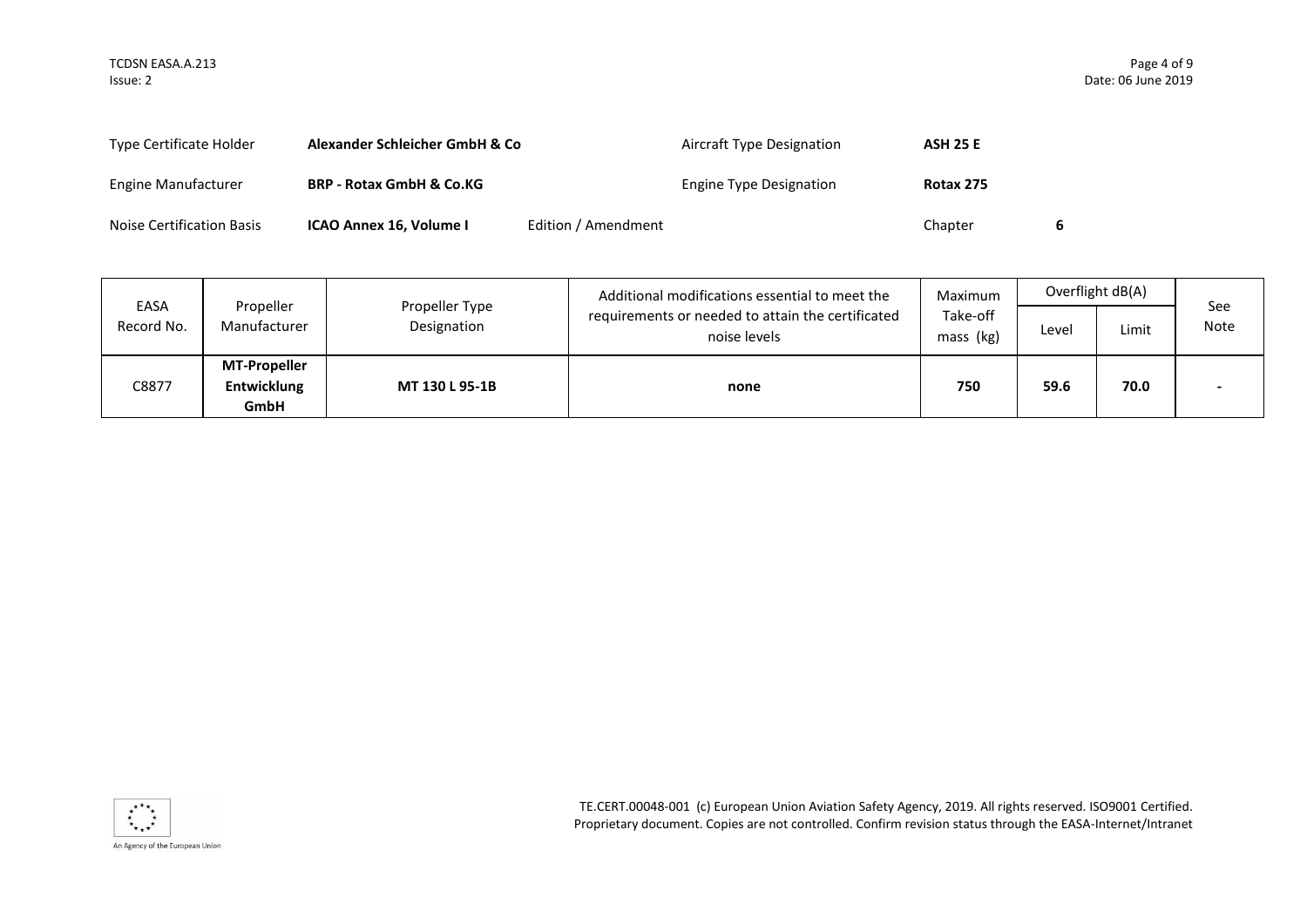| Type Certificate Holder    | Alexander Schleicher GmbH & Co      |                     | Aircraft Type Designation      | <b>ASH 25 E</b> |  |
|----------------------------|-------------------------------------|---------------------|--------------------------------|-----------------|--|
| <b>Engine Manufacturer</b> | <b>BRP - Rotax GmbH &amp; Co.KG</b> |                     | <b>Engine Type Designation</b> | Rotax 275       |  |
| Noise Certification Basis  | ICAO Annex 16, Volume I             | Edition / Amendment |                                | Chapter         |  |

|                    |                                            |                               | Additional modifications essential to meet the                    | Maximum | Overflight dB(A)      |       |       |             |
|--------------------|--------------------------------------------|-------------------------------|-------------------------------------------------------------------|---------|-----------------------|-------|-------|-------------|
| EASA<br>Record No. | Propeller<br>Manufacturer                  | Propeller Type<br>Designation | requirements or needed to attain the certificated<br>noise levels |         | Take-off<br>mass (kg) | Level | Limit | See<br>Note |
| C8877              | <b>MT-Propeller</b><br>Entwicklung<br>GmbH | MT 130 L 95-1B                | none                                                              | 750     | 59.6                  | 70.0  | $\,$  |             |

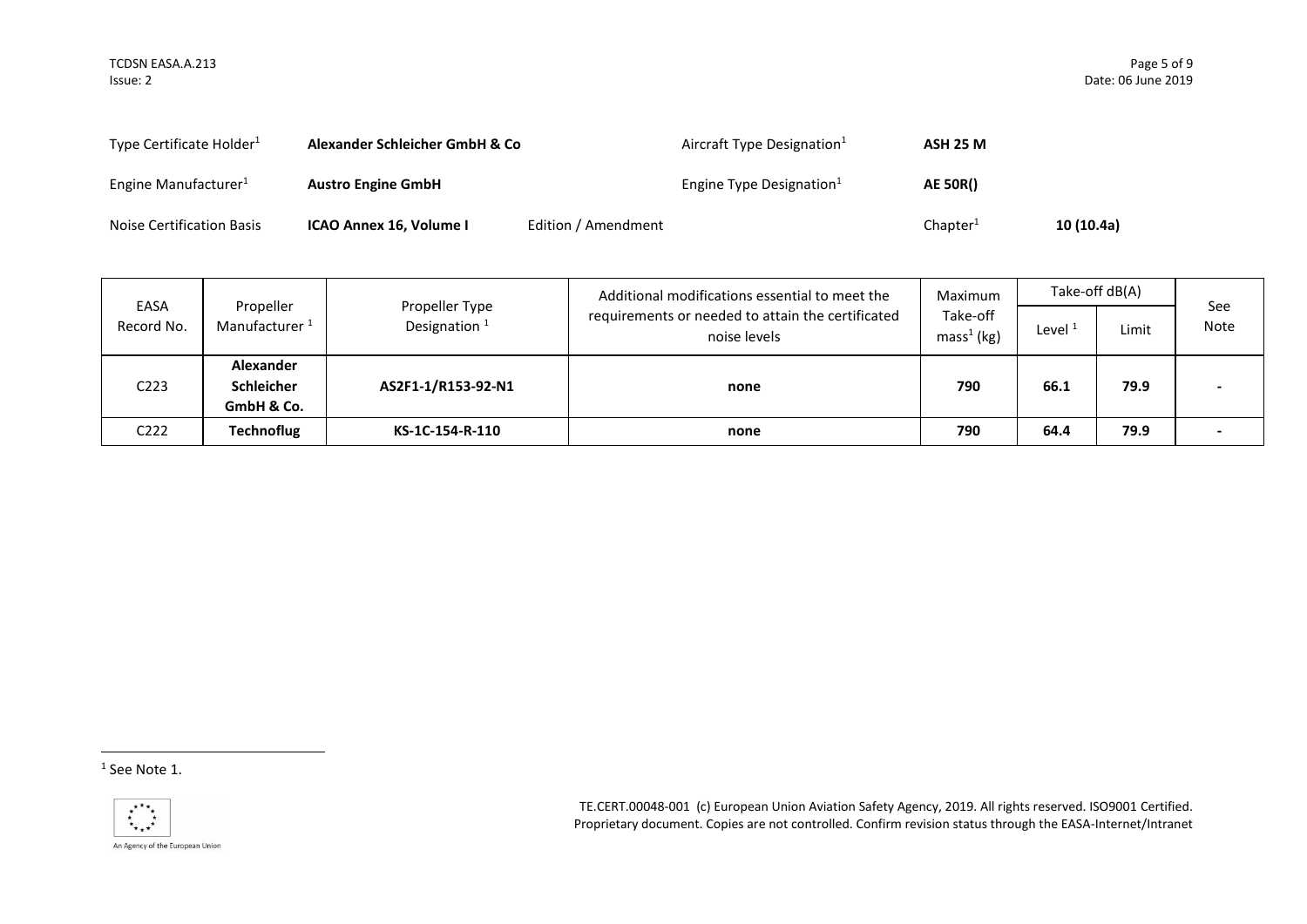| Type Certificate Holder <sup>1</sup> | Alexander Schleicher GmbH & Co |                     | Aircraft Type Designation <sup>1</sup> | <b>ASH 25 M</b>      |           |
|--------------------------------------|--------------------------------|---------------------|----------------------------------------|----------------------|-----------|
| Engine Manufacturer <sup>1</sup>     | <b>Austro Engine GmbH</b>      |                     | Engine Type Designation $1$            | <b>AE 50R()</b>      |           |
| Noise Certification Basis            | <b>ICAO Annex 16, Volume I</b> | Edition / Amendment |                                        | Chapter <sup>1</sup> | 10(10.4a) |

|                    |                                              |                                            | Additional modifications essential to meet the                    |                          | Take-off dB(A) |       |                          |
|--------------------|----------------------------------------------|--------------------------------------------|-------------------------------------------------------------------|--------------------------|----------------|-------|--------------------------|
| EASA<br>Record No. | Propeller<br>Manufacturer <sup>1</sup>       | Propeller Type<br>Designation <sup>1</sup> | requirements or needed to attain the certificated<br>noise levels | Take-off<br>$mass1$ (kg) | Level          | Limit | See<br>Note              |
| C223               | Alexander<br><b>Schleicher</b><br>GmbH & Co. | AS2F1-1/R153-92-N1                         | none                                                              | 790                      | 66.1           | 79.9  | $\overline{\phantom{0}}$ |
| C222               | <b>Technoflug</b>                            | KS-1C-154-R-110                            | none                                                              | 790                      | 64.4           | 79.9  |                          |

1 See Note 1.

1

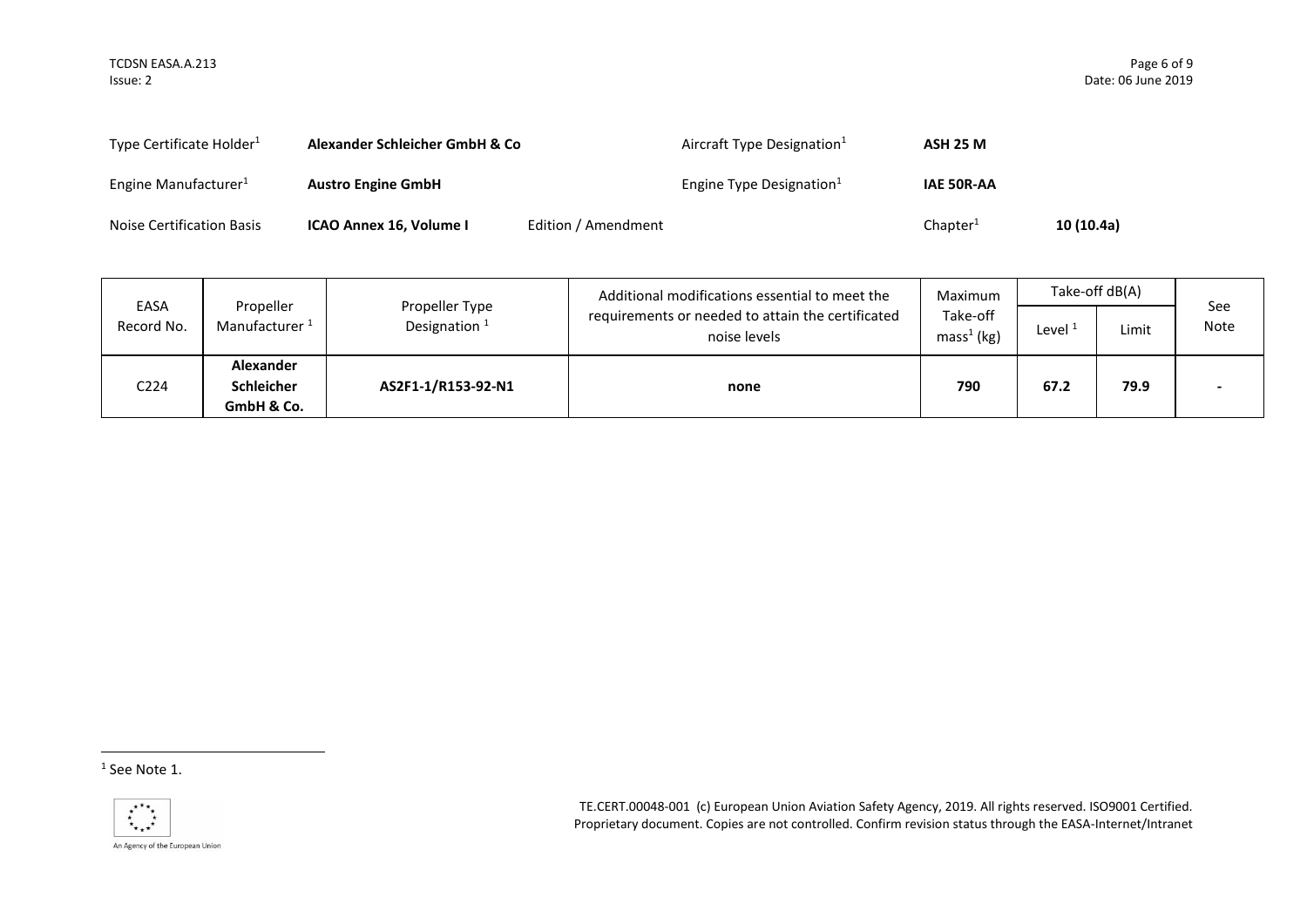| Type Certificate Holder <sup>1</sup> | Alexander Schleicher GmbH & Co |                     | Aircraft Type Designation <sup>1</sup> | <b>ASH 25 M</b>      |            |
|--------------------------------------|--------------------------------|---------------------|----------------------------------------|----------------------|------------|
| Engine Manufacturer <sup>1</sup>     | <b>Austro Engine GmbH</b>      |                     | Engine Type Designation <sup>1</sup>   | <b>IAE 50R-AA</b>    |            |
| Noise Certification Basis            | ICAO Annex 16, Volume I        | Edition / Amendment |                                        | Chapter <sup>1</sup> | 10 (10.4a) |

|                    |                                              |                                            | Additional modifications essential to meet the                    | Maximum                  |       | Take-off dB(A) |                          |
|--------------------|----------------------------------------------|--------------------------------------------|-------------------------------------------------------------------|--------------------------|-------|----------------|--------------------------|
| EASA<br>Record No. | Propeller<br>Manufacturer <sup>1</sup>       | Propeller Type<br>Designation <sup>1</sup> | requirements or needed to attain the certificated<br>noise levels | Take-off<br>$mass1$ (kg) | Level | Limit          | See<br>Note              |
| C224               | Alexander<br><b>Schleicher</b><br>GmbH & Co. | AS2F1-1/R153-92-N1                         | none                                                              | 790                      | 67.2  | 79.9           | $\overline{\phantom{a}}$ |

1 See Note 1.

1

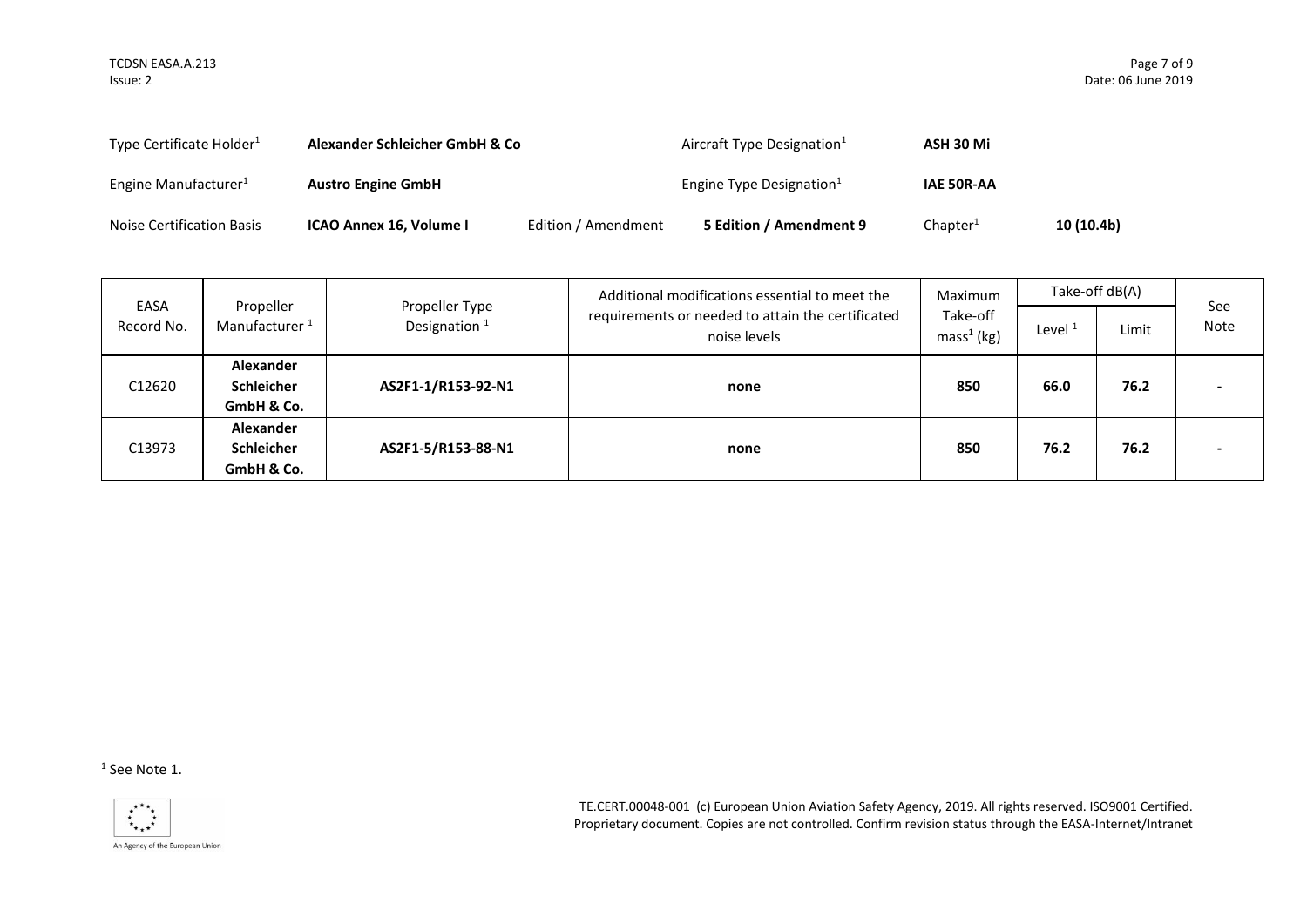| Type Certificate Holder <sup>1</sup> | Alexander Schleicher GmbH & Co |                     | Aircraft Type Designation $1$        | ASH 30 Mi            |            |
|--------------------------------------|--------------------------------|---------------------|--------------------------------------|----------------------|------------|
| Engine Manufacturer <sup>1</sup>     | <b>Austro Engine GmbH</b>      |                     | Engine Type Designation <sup>1</sup> | <b>IAE 50R-AA</b>    |            |
| Noise Certification Basis            | <b>ICAO Annex 16, Volume I</b> | Edition / Amendment | 5 Edition / Amendment 9              | Chapter <sup>1</sup> | 10 (10.4b) |

|                    |                                                                                      |                                                                   | Additional modifications essential to meet the | Maximum | Take-off dB(A) |             |                          |
|--------------------|--------------------------------------------------------------------------------------|-------------------------------------------------------------------|------------------------------------------------|---------|----------------|-------------|--------------------------|
| EASA<br>Record No. | Propeller<br>Propeller Type<br>Designation <sup>1</sup><br>Manufacturer <sup>1</sup> | requirements or needed to attain the certificated<br>noise levels | Take-off<br>$mass1$ (kg)                       | Level   | Limit          | See<br>Note |                          |
| C12620             | <b>Alexander</b><br><b>Schleicher</b><br>GmbH & Co.                                  | AS2F1-1/R153-92-N1                                                | none                                           | 850     | 66.0           | 76.2        | $\overline{\phantom{0}}$ |
| C13973             | Alexander<br><b>Schleicher</b><br>GmbH & Co.                                         | AS2F1-5/R153-88-N1                                                | none                                           | 850     | 76.2           | 76.2        | $\overline{\phantom{0}}$ |

1 See Note 1.

1

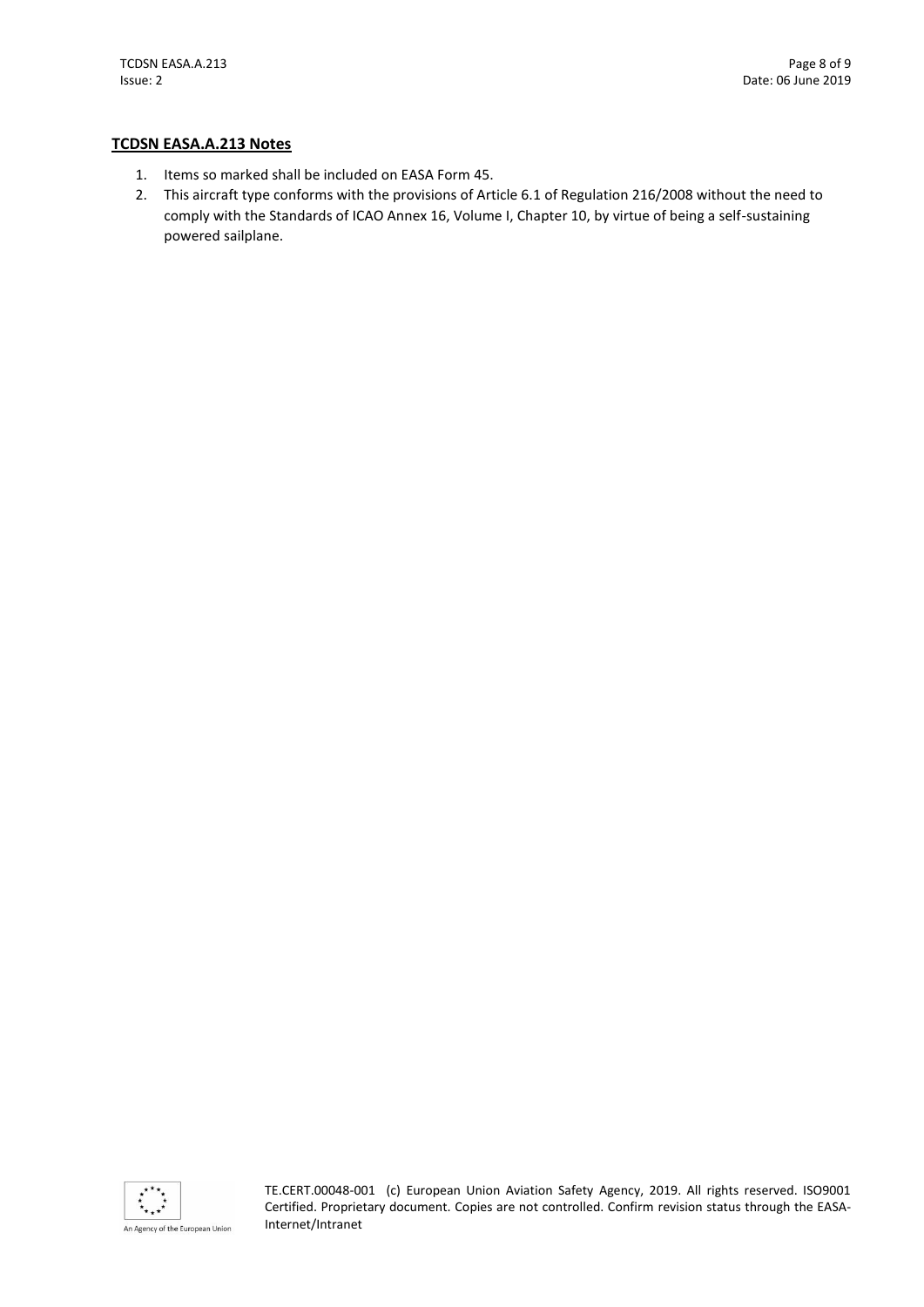## **TCDSN EASA.A.213 Notes**

- 1. Items so marked shall be included on EASA Form 45.
- 2. This aircraft type conforms with the provisions of Article 6.1 of Regulation 216/2008 without the need to comply with the Standards of ICAO Annex 16, Volume I, Chapter 10, by virtue of being a self-sustaining powered sailplane.